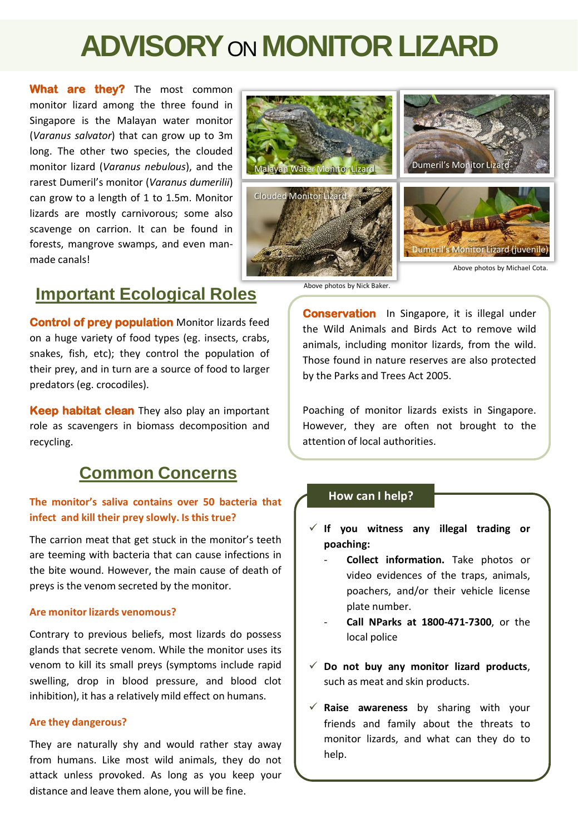# **ADVISORY**ON**MONITOR LIZARD**

**What are they?** The most common monitor lizard among the three found in Singapore is the Malayan water monitor (*Varanus salvator*) that can grow up to 3m long. The other two species, the clouded monitor lizard (*Varanus nebulous*), and the rarest Dumeril's monitor (*Varanus dumerilii*) can grow to a length of 1 to 1.5m. Monitor lizards are mostly carnivorous; some also scavenge on carrion. It can be found in forests, mangrove swamps, and even manmade canals!



## **Important Ecological Roles**

**Control of prey population** Monitor lizards feed on a huge variety of food types (eg. insects, crabs, snakes, fish, etc); they control the population of their prey, and in turn are a source of food to larger predators (eg. crocodiles).

**Keep habitat clean** They also play an important role as scavengers in biomass decomposition and recycling.

# **Common Concerns**

## **The monitor's saliva contains over 50 bacteria that infect and kill their prey slowly. Is this true?**

The carrion meat that get stuck in the monitor's teeth are teeming with bacteria that can cause infections in the bite wound. However, the main cause of death of preys is the venom secreted by the monitor.

#### **Are monitorlizards venomous?**

Contrary to previous beliefs, most lizards do possess glands that secrete venom. While the monitor uses its venom to kill its small preys (symptoms include rapid swelling, drop in blood pressure, and blood clot inhibition), it has a relatively mild effect on humans.

#### **Are they dangerous?**

They are naturally shy and would rather stay away from humans. Like most wild animals, they do not attack unless provoked. As long as you keep your distance and leave them alone, you will be fine.

Above photos by Nick Baker.

**Conservation** In Singapore, it is illegal under the Wild Animals and Birds Act to remove wild animals, including monitor lizards, from the wild. Those found in nature reserves are also protected by the Parks and Trees Act 2005.

Poaching of monitor lizards exists in Singapore. However, they are often not brought to the attention of local authorities.

## **How can I help?**

- **If you witness any illegal trading or poaching:**
	- **Collect information.** Take photos or video evidences of the traps, animals, poachers, and/or their vehicle license plate number.
	- **Call NParks at 1800-471-7300**, or the local police
- $\checkmark$  Do not buy any monitor lizard products, such as meat and skin products.
- **Raise awareness** by sharing with your friends and family about the threats to monitor lizards, and what can they do to help.